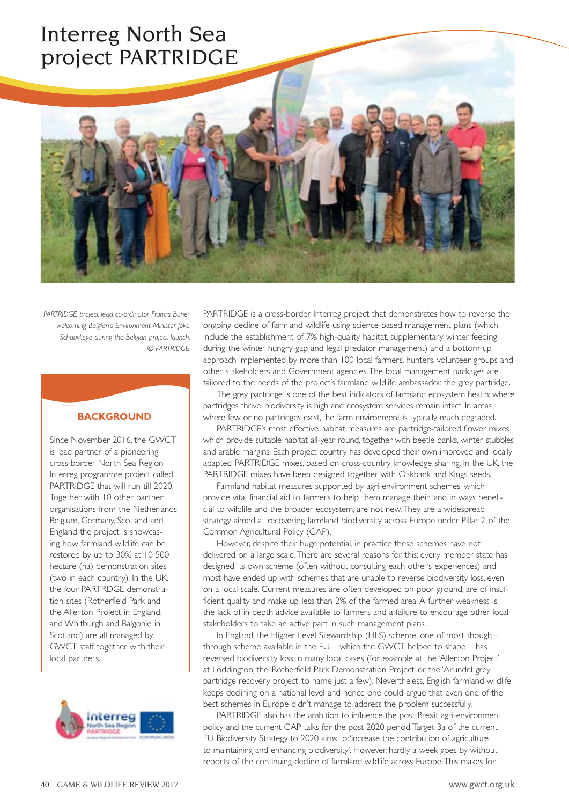# Interreg North Sea project PARTRIDGE

*PARTRIDGE project lead co-ordinator Francis Buner welcoming Belgian's Environment Minister Joke Schauvliege during the Belgian project launch.* 

*© PARTRIDGE*

### **BACKGROUND**

Since November 2016, the GWCT is lead partner of a pioneering cross-border North Sea Region Interreg programme project called PARTRIDGE that will run till 2020. Together with 10 other partner organisations from the Netherlands, Belgium, Germany, Scotland and England the project is showcasing how farmland wildlife can be restored by up to 30% at 10 500 hectare (ha) demonstration sites (two in each country). In the UK, the four PARTRDGE demonstration sites (Rotherfield Park and the Allerton Project in England, and Whitburgh and Balgonie in Scotland) are all managed by GWCT staff together with their local partners.



PARTRIDGE is a cross-border Interreg project that demonstrates how to reverse the ongoing decline of farmland wildlife using science-based management plans (which include the establishment of 7% high-quality habitat, supplementary winter feeding during the winter hungry-gap and legal predator management) and a bottom-up approach implemented by more than 100 local farmers, hunters, volunteer groups and other stakeholders and Government agencies. The local management packages are tailored to the needs of the project's farmland wildlife ambassador, the grey partridge.

The grey partridge is one of the best indicators of farmland ecosystem health; where partridges thrive, biodiversity is high and ecosystem services remain intact. In areas where few or no partridges exist, the farm environment is typically much degraded.

PARTRIDGE's most effective habitat measures are partridge-tailored flower mixes which provide suitable habitat all-year round, together with beetle banks, winter stubbles and arable margins. Each project country has developed their own improved and locally adapted PARTRIDGE mixes, based on cross-country knowledge sharing. In the UK, the PARTRIDGE mixes have been designed together with Oakbank and Kings seeds.

Farmland habitat measures supported by agri-environment schemes, which provide vital financial aid to farmers to help them manage their land in ways beneficial to wildlife and the broader ecosystem, are not new. They are a widespread strategy aimed at recovering farmland biodiversity across Europe under Pillar 2 of the Common Agricultural Policy (CAP).

However, despite their huge potential, in practice these schemes have not delivered on a large scale. There are several reasons for this: every member state has designed its own scheme (often without consulting each other's experiences) and most have ended up with schemes that are unable to reverse biodiversity loss, even on a local scale. Current measures are often developed on poor ground, are of insufficient quality and make up less than 2% of the farmed area. A further weakness is the lack of in-depth advice available to farmers and a failure to encourage other local stakeholders to take an active part in such management plans.

In England, the Higher Level Stewardship (HLS) scheme, one of most thoughtthrough scheme available in the EU – which the GWCT helped to shape – has reversed biodiversity loss in many local cases (for example at the 'Allerton Project' at Loddington, the 'Rotherfield Park Demonstration Project' or the 'Arundel grey partridge recovery project' to name just a few). Nevertheless, English farmland wildlife keeps declining on a national level and hence one could argue that even one of the best schemes in Europe didn't manage to address the problem successfully.

PARTRIDGE also has the ambition to influence the post-Brexit agri-environment policy and the current CAP talks for the post 2020 period. Target 3a of the current EU Biodiversity Strategy to 2020 aims to: 'increase the contribution of agriculture to maintaining and enhancing biodiversity'. However, hardly a week goes by without reports of the continuing decline of farmland wildlife across Europe. This makes for